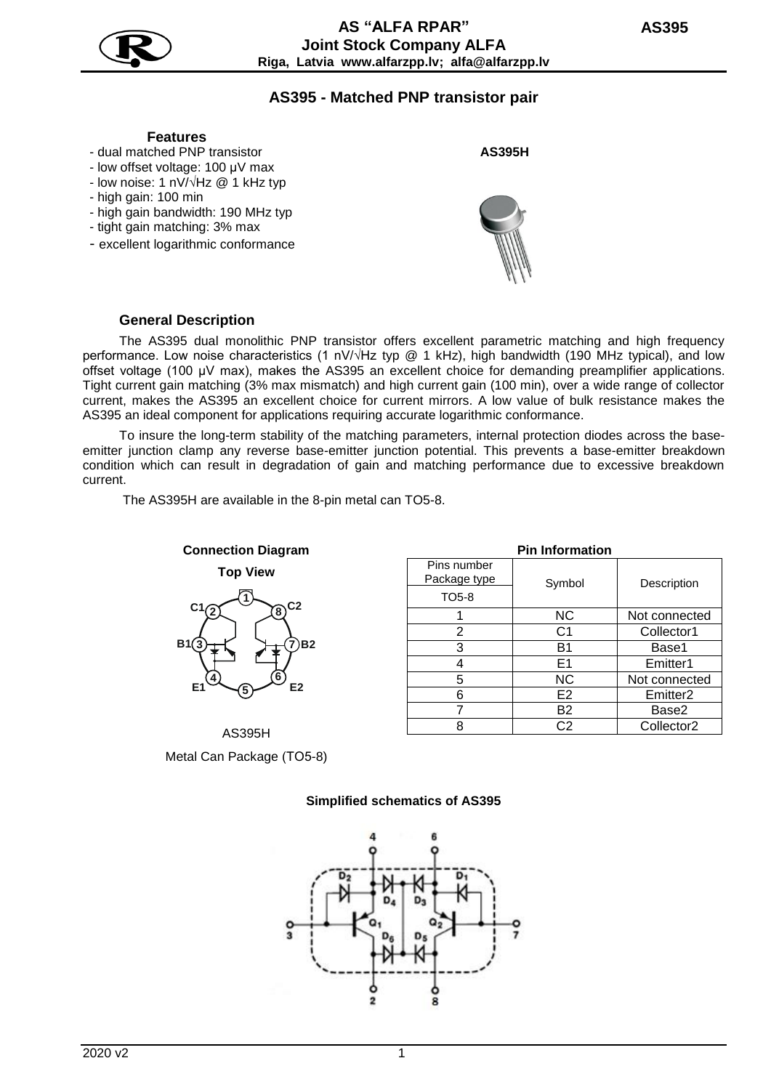

# **AS395 - Matched PNP transistor pair**

# **Features**

- dual matched PNP transistor
- low offset voltage: 100 µV max
- low noise: 1 nV/√Hz @ 1 kHz typ
- high gain: 100 min
- high gain bandwidth: 190 MHz typ
- tight gain matching: 3% max
- excellent logarithmic conformance

**AS395H**



#### **General Description**

The AS395 dual monolithic PNP transistor offers excellent parametric matching and high frequency performance. Low noise characteristics (1 nV/√Hz typ @ 1 kHz), high bandwidth (190 MHz typical), and low offset voltage (100 µV max), makes the AS395 an excellent choice for demanding preamplifier applications. Tight current gain matching (3% max mismatch) and high current gain (100 min), over a wide range of collector current, makes the AS395 an excellent choice for current mirrors. A low value of bulk resistance makes the AS395 an ideal component for applications requiring accurate logarithmic conformance.

To insure the long-term stability of the matching parameters, internal protection diodes across the baseemitter junction clamp any reverse base-emitter junction potential. This prevents a base-emitter breakdown condition which can result in degradation of gain and matching performance due to excessive breakdown current.

The AS395H are available in the 8-pin metal can TO5-8.



AS395H Metal Can Package (ТО5-8)

| <b>Pin Information</b>      |                |                        |  |  |
|-----------------------------|----------------|------------------------|--|--|
| Pins number<br>Package type | Symbol         | Description            |  |  |
| TO <sub>5</sub> -8          |                |                        |  |  |
|                             | <b>NC</b>      | Not connected          |  |  |
| 2                           | C <sub>1</sub> | Collector1             |  |  |
| 3                           | B1             | Base1                  |  |  |
|                             | E <sub>1</sub> | Emitter1               |  |  |
| 5                           | <b>NC</b>      | Not connected          |  |  |
| 6                           | E <sub>2</sub> | Emitter <sub>2</sub>   |  |  |
|                             | <b>B2</b>      | Base2                  |  |  |
|                             | C2             | Collector <sub>2</sub> |  |  |

### **Simplified schematics of AS395**

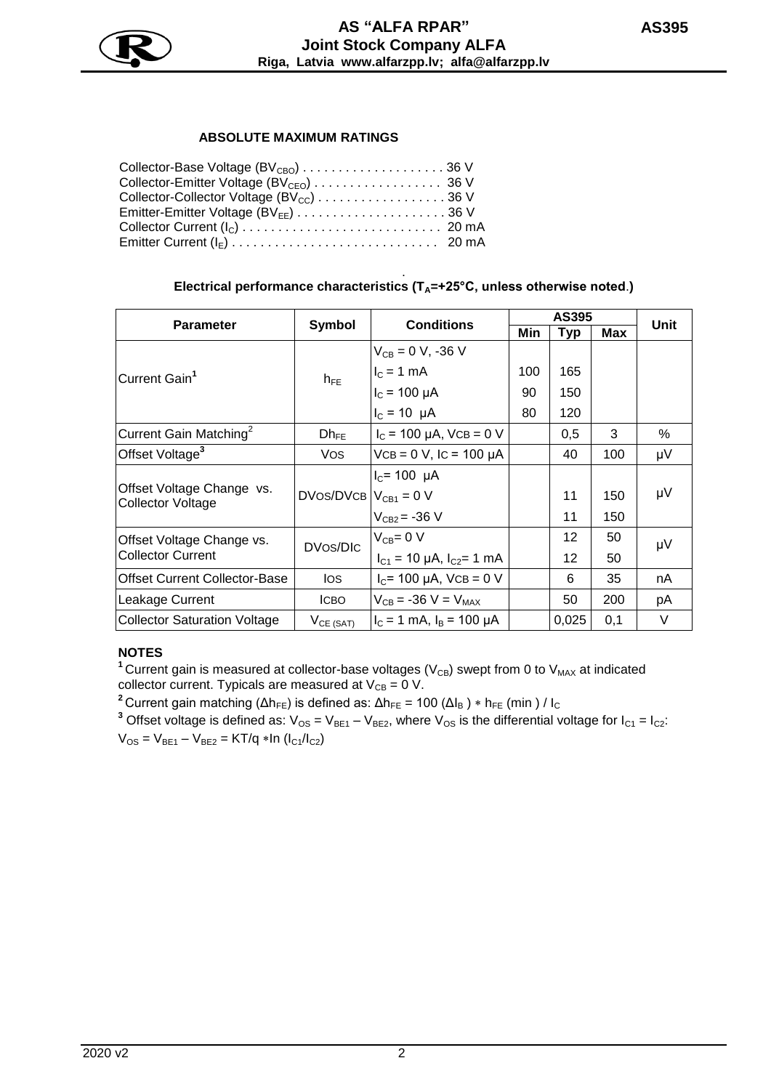

## **ABSOLUTE MAXIMUM RATINGS**

| Collector-Collector Voltage (BV <sub>cc</sub> ) 36 V |  |
|------------------------------------------------------|--|
|                                                      |  |
|                                                      |  |
|                                                      |  |

#### . **Electrical performance characteristics (TA=+25°C, unless otherwise noted**.**)**

|                                                       | Symbol                       | <b>Conditions</b>                 | AS395 |            |     |      |
|-------------------------------------------------------|------------------------------|-----------------------------------|-------|------------|-----|------|
| <b>Parameter</b>                                      |                              |                                   | Min   | <b>Typ</b> | Max | Unit |
| Current Gain <sup>1</sup>                             | $h_{FE}$                     | $V_{CB} = 0 V, -36 V$             |       |            |     |      |
|                                                       |                              | $IC = 1 mA$                       | 100   | 165        |     |      |
|                                                       |                              | $I_c = 100 \mu A$                 | 90    | 150        |     |      |
|                                                       |                              | $I_c = 10 \mu A$                  | 80    | 120        |     |      |
| Current Gain Matching <sup>2</sup>                    | $Dh_{FE}$                    | $I_c$ = 100 µA, VCB = 0 V         |       | 0,5        | 3   | %    |
| Offset Voltage <sup>3</sup>                           | Vos                          | $VCB = 0 V$ , IC = 100 µA         |       | 40         | 100 | μV   |
| Offset Voltage Change vs.<br><b>Collector Voltage</b> | $DVos/DVCB$ $ V_{CB1} = 0$ V | $I_C$ = 100 µA                    |       |            |     |      |
|                                                       |                              |                                   |       | 11         | 150 | μV   |
|                                                       |                              | $V_{CB2} = -36 V$                 |       | 11         | 150 |      |
| Offset Voltage Change vs.<br><b>Collector Current</b> | DVos/DIC                     | $V_{CB} = 0 V$                    |       | 12         | 50  | μV   |
|                                                       |                              | $I_{C1}$ = 10 µA, $I_{C2}$ = 1 mA |       | 12         | 50  |      |
| <b>Offset Current Collector-Base</b>                  | los.                         | $I_C$ = 100 µA, VCB = 0 V         |       | 6          | 35  | nA.  |
| Leakage Current                                       | ICBO                         | $V_{CB} = -36 V = V_{MAX}$        |       | 50         | 200 | рA   |
| <b>Collector Saturation Voltage</b>                   | $V_{CE (SAT)}$               | $I_c = 1$ mA, $I_B = 100 \mu A$   |       | 0,025      | 0,1 | V    |

# **NOTES**

<sup>1</sup> Current gain is measured at collector-base voltages ( $V_{CB}$ ) swept from 0 to  $V_{MAX}$  at indicated collector current. Typicals are measured at  $V_{CB} = 0 V$ .

<sup>2</sup> Current gain matching ( $Δh_{FE}$ ) is defined as:  $Δh_{FE} = 100 (Δl_B) * h_{FE}$  (min) / l<sub>c</sub>

<sup>3</sup> Offset voltage is defined as:  $V_{OS} = V_{BE1} - V_{BE2}$ , where  $V_{OS}$  is the differential voltage for  $I_{C1} = I_{C2}$ :  $V_{OS} = V_{BE1} - V_{BE2} = KT/q * ln (I_{C1}/I_{C2})$